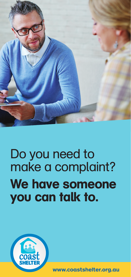

# We have someone you can talk to. Do you need to make a complaint?



**www.coastshelter.org.au**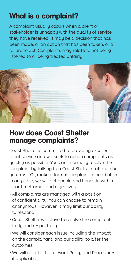## What is a complaint?

A complaint usually occurs when a client or stakeholder is unhappy with the quality of service they have received. It may be a decision that has been made, or an action that has been taken, or a failure to act. Complaints may relate to not being listened to or being treated unfairly.



#### How does Coast Shelter manage complaints?

Coast Shelter is committed to providing excellent client service and will seek to action complaints as quickly as possible. You can informally resolve the complaint by talking to a Coast Shelter staff member you trust. Or, make a formal complaint to head office. In any case, we will act openly and honestly within clear timeframes and objectives.

- All complaints are managed with a position of confidentiality. You can choose to remain anonymous. However, it may limit our ability to respond.
- Coast Shelter will strive to resolve the complaint fairly and respectfully.
- We will consider each issue including the impact on the complainant, and our ability to alter the outcomes.
- We will refer to the relevant Policy and Procedures if applicable.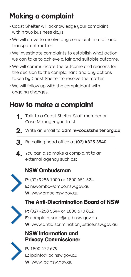## Making a complaint

- Coast Shelter will acknowledge your complaint within two business days.
- We will strive to resolve any complaint in a fair and transparent matter.
- We investigate complaints to establish what action we can take to achieve a fair and suitable outcome.
- We will communicate the outcome and reasons for the decision to the complainant and any actions taken by Coast Shelter to resolve the matter.
- We will follow up with the complainant with ongoing changes.

### How to make a complaint

- 1. Talk to a Coast Shelter Staff member or Case Manager you trust
- 2. Write an email to admin@coastshelter.org.au
- **3.** By calling head office at (02) 4325 3540
- 4. You can also make a complaint to an external agency such as:

#### NSW Ombudsman



P: (02) 9286 1000 or 1800 451 524 E: nswombo@ombo.nsw.gov.au W: www.ombo.nsw.gov.au

#### The Anti-Discrimination Board of NSW



P: (02) 9268 5544 or 1800 670 812 E: complaintsadb@agd.nsw.gov.au W: www.antidiscrimination.justice.nsw.gov.au

#### NSW lnformation and Privacy Commissioner



P: 1800 472 679 E: ipcinfo@ipc.nsw.gov.au W: www.ipc.nsw.gov.au